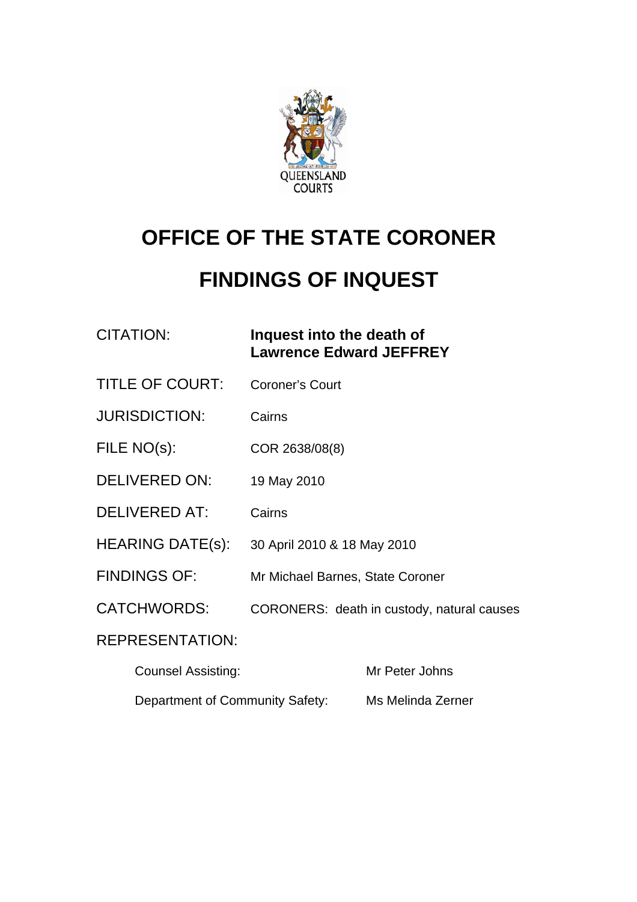

# **OFFICE OF THE STATE CORONER**

## **FINDINGS OF INQUEST**

| CITATION: | Inquest into the death of      |
|-----------|--------------------------------|
|           | <b>Lawrence Edward JEFFREY</b> |

- TITLE OF COURT: Coroner's Court
- JURISDICTION: Cairns
- FILE NO(s): COR 2638/08(8)
- DELIVERED ON: 19 May 2010
- DELIVERED AT: Cairns
- HEARING DATE(s): 30 April 2010 & 18 May 2010
- FINDINGS OF: Mr Michael Barnes, State Coroner
- CATCHWORDS: CORONERS: death in custody, natural causes

#### REPRESENTATION:

| <b>Counsel Assisting:</b>       | Mr Peter Johns    |
|---------------------------------|-------------------|
| Department of Community Safety: | Ms Melinda Zerner |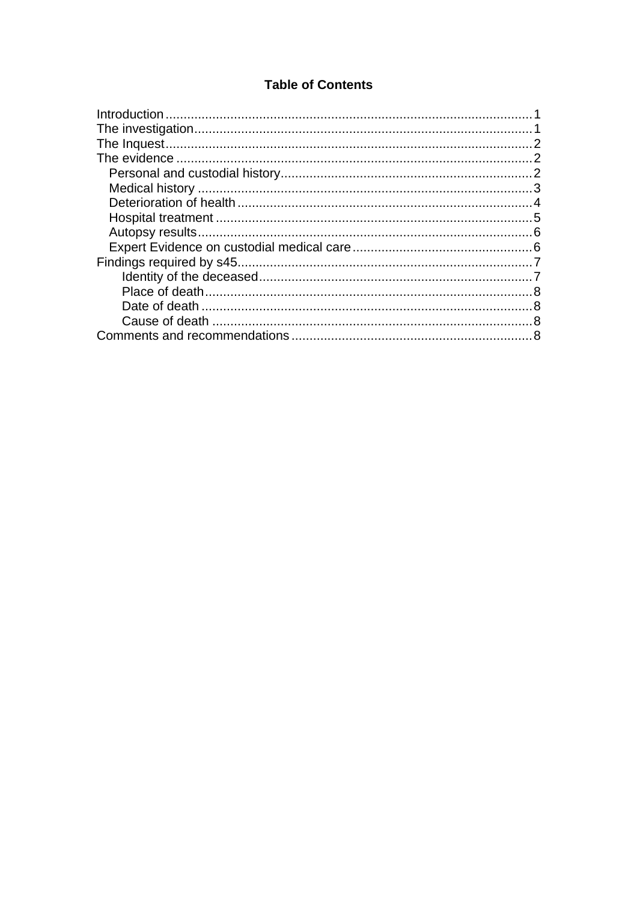#### **Table of Contents**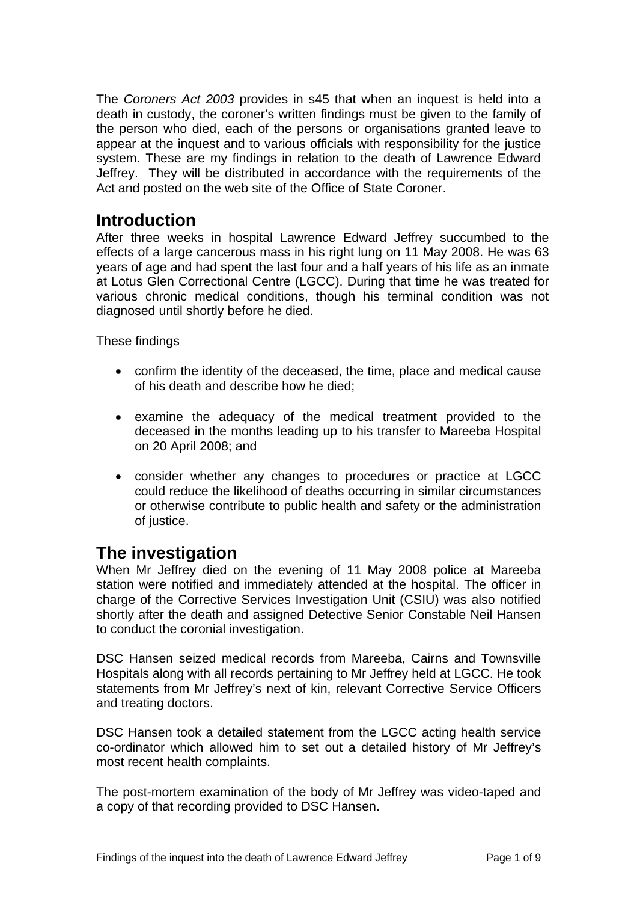<span id="page-2-0"></span>The *Coroners Act 2003* provides in s45 that when an inquest is held into a death in custody, the coroner's written findings must be given to the family of the person who died, each of the persons or organisations granted leave to appear at the inquest and to various officials with responsibility for the justice system. These are my findings in relation to the death of Lawrence Edward Jeffrey. They will be distributed in accordance with the requirements of the Act and posted on the web site of the Office of State Coroner.

## **Introduction**

After three weeks in hospital Lawrence Edward Jeffrey succumbed to the effects of a large cancerous mass in his right lung on 11 May 2008. He was 63 years of age and had spent the last four and a half years of his life as an inmate at Lotus Glen Correctional Centre (LGCC). During that time he was treated for various chronic medical conditions, though his terminal condition was not diagnosed until shortly before he died.

These findings

- confirm the identity of the deceased, the time, place and medical cause of his death and describe how he died;
- examine the adequacy of the medical treatment provided to the deceased in the months leading up to his transfer to Mareeba Hospital on 20 April 2008; and
- consider whether any changes to procedures or practice at LGCC could reduce the likelihood of deaths occurring in similar circumstances or otherwise contribute to public health and safety or the administration of justice.

## **The investigation**

When Mr Jeffrey died on the evening of 11 May 2008 police at Mareeba station were notified and immediately attended at the hospital. The officer in charge of the Corrective Services Investigation Unit (CSIU) was also notified shortly after the death and assigned Detective Senior Constable Neil Hansen to conduct the coronial investigation.

DSC Hansen seized medical records from Mareeba, Cairns and Townsville Hospitals along with all records pertaining to Mr Jeffrey held at LGCC. He took statements from Mr Jeffrey's next of kin, relevant Corrective Service Officers and treating doctors.

DSC Hansen took a detailed statement from the LGCC acting health service co-ordinator which allowed him to set out a detailed history of Mr Jeffrey's most recent health complaints.

The post-mortem examination of the body of Mr Jeffrey was video-taped and a copy of that recording provided to DSC Hansen.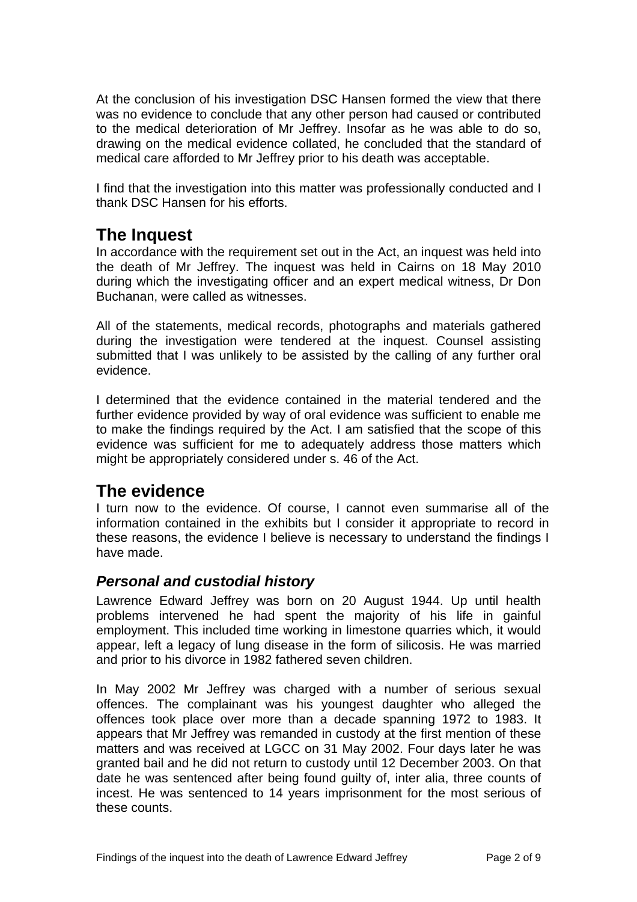<span id="page-3-0"></span>At the conclusion of his investigation DSC Hansen formed the view that there was no evidence to conclude that any other person had caused or contributed to the medical deterioration of Mr Jeffrey. Insofar as he was able to do so, drawing on the medical evidence collated, he concluded that the standard of medical care afforded to Mr Jeffrey prior to his death was acceptable.

I find that the investigation into this matter was professionally conducted and I thank DSC Hansen for his efforts.

## **The Inquest**

In accordance with the requirement set out in the Act, an inquest was held into the death of Mr Jeffrey. The inquest was held in Cairns on 18 May 2010 during which the investigating officer and an expert medical witness, Dr Don Buchanan, were called as witnesses.

All of the statements, medical records, photographs and materials gathered during the investigation were tendered at the inquest. Counsel assisting submitted that I was unlikely to be assisted by the calling of any further oral evidence.

I determined that the evidence contained in the material tendered and the further evidence provided by way of oral evidence was sufficient to enable me to make the findings required by the Act. I am satisfied that the scope of this evidence was sufficient for me to adequately address those matters which might be appropriately considered under s. 46 of the Act.

### **The evidence**

I turn now to the evidence. Of course, I cannot even summarise all of the information contained in the exhibits but I consider it appropriate to record in these reasons, the evidence I believe is necessary to understand the findings I have made.

#### *Personal and custodial history*

Lawrence Edward Jeffrey was born on 20 August 1944. Up until health problems intervened he had spent the majority of his life in gainful employment. This included time working in limestone quarries which, it would appear, left a legacy of lung disease in the form of silicosis. He was married and prior to his divorce in 1982 fathered seven children.

In May 2002 Mr Jeffrey was charged with a number of serious sexual offences. The complainant was his youngest daughter who alleged the offences took place over more than a decade spanning 1972 to 1983. It appears that Mr Jeffrey was remanded in custody at the first mention of these matters and was received at LGCC on 31 May 2002. Four days later he was granted bail and he did not return to custody until 12 December 2003. On that date he was sentenced after being found guilty of, inter alia, three counts of incest. He was sentenced to 14 years imprisonment for the most serious of these counts.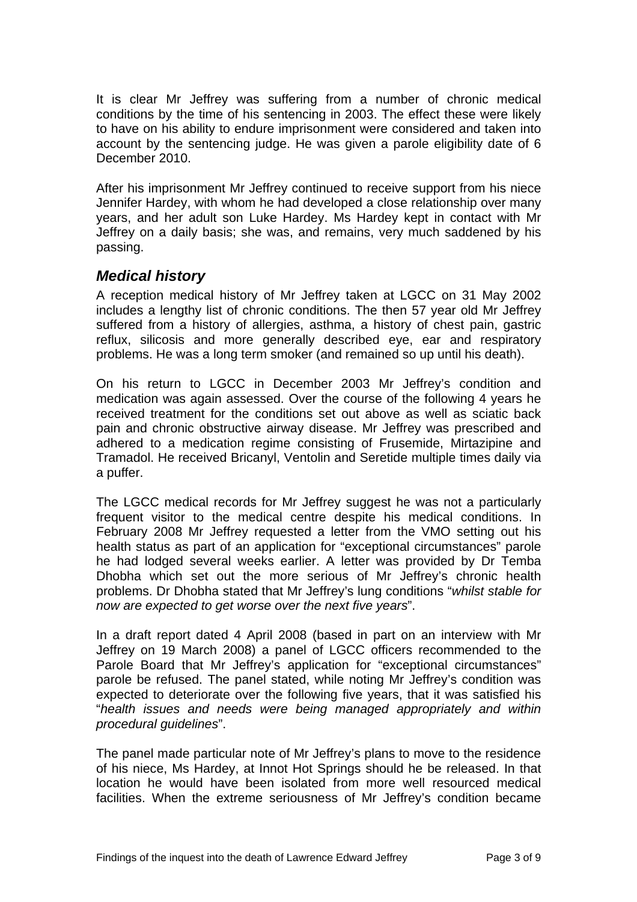<span id="page-4-0"></span>It is clear Mr Jeffrey was suffering from a number of chronic medical conditions by the time of his sentencing in 2003. The effect these were likely to have on his ability to endure imprisonment were considered and taken into account by the sentencing judge. He was given a parole eligibility date of 6 December 2010.

After his imprisonment Mr Jeffrey continued to receive support from his niece Jennifer Hardey, with whom he had developed a close relationship over many years, and her adult son Luke Hardey. Ms Hardey kept in contact with Mr Jeffrey on a daily basis; she was, and remains, very much saddened by his passing.

#### *Medical history*

A reception medical history of Mr Jeffrey taken at LGCC on 31 May 2002 includes a lengthy list of chronic conditions. The then 57 year old Mr Jeffrey suffered from a history of allergies, asthma, a history of chest pain, gastric reflux, silicosis and more generally described eye, ear and respiratory problems. He was a long term smoker (and remained so up until his death).

On his return to LGCC in December 2003 Mr Jeffrey's condition and medication was again assessed. Over the course of the following 4 years he received treatment for the conditions set out above as well as sciatic back pain and chronic obstructive airway disease. Mr Jeffrey was prescribed and adhered to a medication regime consisting of Frusemide, Mirtazipine and Tramadol. He received Bricanyl, Ventolin and Seretide multiple times daily via a puffer.

The LGCC medical records for Mr Jeffrey suggest he was not a particularly frequent visitor to the medical centre despite his medical conditions. In February 2008 Mr Jeffrey requested a letter from the VMO setting out his health status as part of an application for "exceptional circumstances" parole he had lodged several weeks earlier. A letter was provided by Dr Temba Dhobha which set out the more serious of Mr Jeffrey's chronic health problems. Dr Dhobha stated that Mr Jeffrey's lung conditions "*whilst stable for now are expected to get worse over the next five years*".

In a draft report dated 4 April 2008 (based in part on an interview with Mr Jeffrey on 19 March 2008) a panel of LGCC officers recommended to the Parole Board that Mr Jeffrey's application for "exceptional circumstances" parole be refused. The panel stated, while noting Mr Jeffrey's condition was expected to deteriorate over the following five years, that it was satisfied his "*health issues and needs were being managed appropriately and within procedural guidelines*".

The panel made particular note of Mr Jeffrey's plans to move to the residence of his niece, Ms Hardey, at Innot Hot Springs should he be released. In that location he would have been isolated from more well resourced medical facilities. When the extreme seriousness of Mr Jeffrey's condition became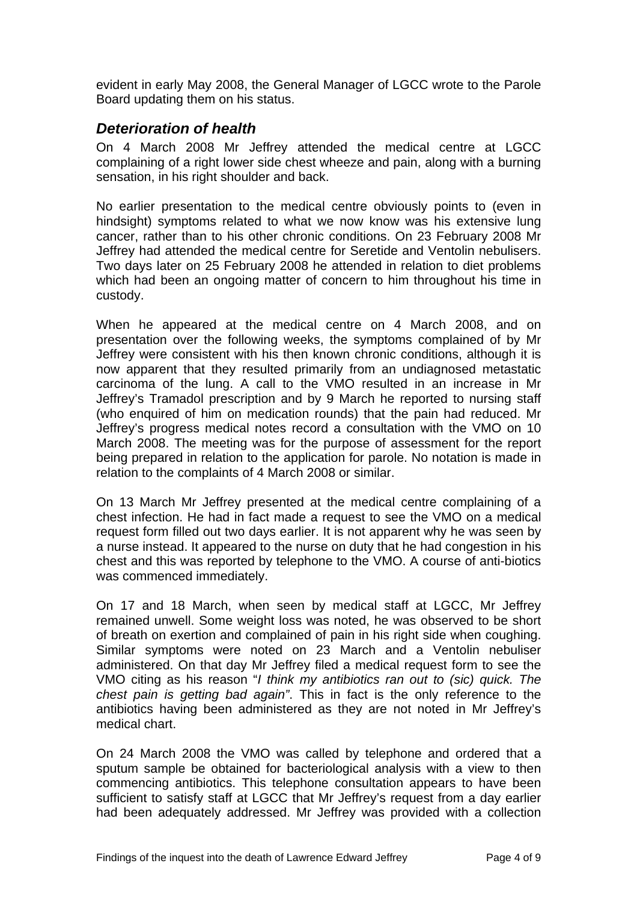<span id="page-5-0"></span>evident in early May 2008, the General Manager of LGCC wrote to the Parole Board updating them on his status.

#### *Deterioration of health*

On 4 March 2008 Mr Jeffrey attended the medical centre at LGCC complaining of a right lower side chest wheeze and pain, along with a burning sensation, in his right shoulder and back.

No earlier presentation to the medical centre obviously points to (even in hindsight) symptoms related to what we now know was his extensive lung cancer, rather than to his other chronic conditions. On 23 February 2008 Mr Jeffrey had attended the medical centre for Seretide and Ventolin nebulisers. Two days later on 25 February 2008 he attended in relation to diet problems which had been an ongoing matter of concern to him throughout his time in custody.

When he appeared at the medical centre on 4 March 2008, and on presentation over the following weeks, the symptoms complained of by Mr Jeffrey were consistent with his then known chronic conditions, although it is now apparent that they resulted primarily from an undiagnosed metastatic carcinoma of the lung. A call to the VMO resulted in an increase in Mr Jeffrey's Tramadol prescription and by 9 March he reported to nursing staff (who enquired of him on medication rounds) that the pain had reduced. Mr Jeffrey's progress medical notes record a consultation with the VMO on 10 March 2008. The meeting was for the purpose of assessment for the report being prepared in relation to the application for parole. No notation is made in relation to the complaints of 4 March 2008 or similar.

On 13 March Mr Jeffrey presented at the medical centre complaining of a chest infection. He had in fact made a request to see the VMO on a medical request form filled out two days earlier. It is not apparent why he was seen by a nurse instead. It appeared to the nurse on duty that he had congestion in his chest and this was reported by telephone to the VMO. A course of anti-biotics was commenced immediately.

On 17 and 18 March, when seen by medical staff at LGCC, Mr Jeffrey remained unwell. Some weight loss was noted, he was observed to be short of breath on exertion and complained of pain in his right side when coughing. Similar symptoms were noted on 23 March and a Ventolin nebuliser administered. On that day Mr Jeffrey filed a medical request form to see the VMO citing as his reason "*I think my antibiotics ran out to (sic) quick. The chest pain is getting bad again"*. This in fact is the only reference to the antibiotics having been administered as they are not noted in Mr Jeffrey's medical chart.

On 24 March 2008 the VMO was called by telephone and ordered that a sputum sample be obtained for bacteriological analysis with a view to then commencing antibiotics. This telephone consultation appears to have been sufficient to satisfy staff at LGCC that Mr Jeffrey's request from a day earlier had been adequately addressed. Mr Jeffrey was provided with a collection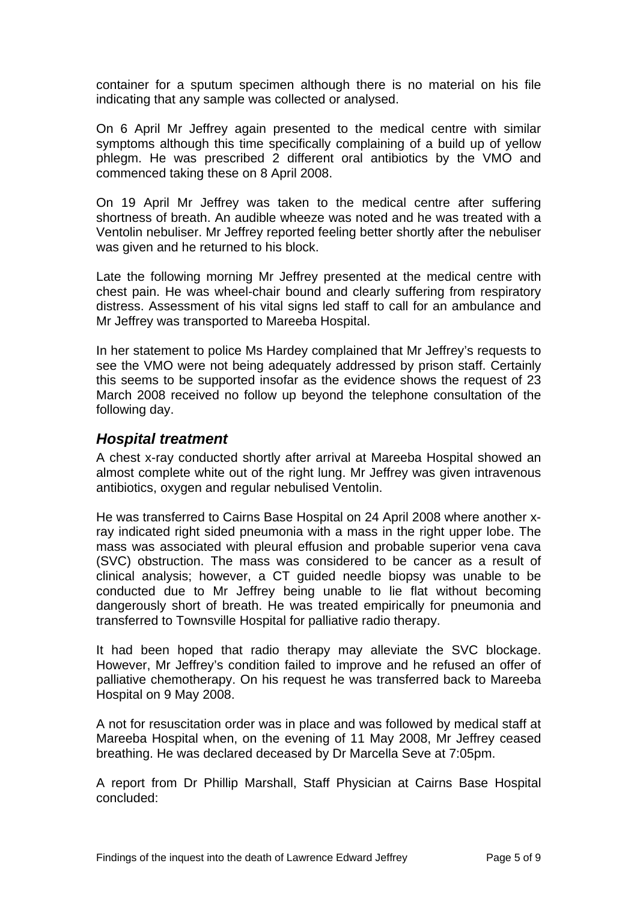<span id="page-6-0"></span>container for a sputum specimen although there is no material on his file indicating that any sample was collected or analysed.

On 6 April Mr Jeffrey again presented to the medical centre with similar symptoms although this time specifically complaining of a build up of yellow phlegm. He was prescribed 2 different oral antibiotics by the VMO and commenced taking these on 8 April 2008.

On 19 April Mr Jeffrey was taken to the medical centre after suffering shortness of breath. An audible wheeze was noted and he was treated with a Ventolin nebuliser. Mr Jeffrey reported feeling better shortly after the nebuliser was given and he returned to his block.

Late the following morning Mr Jeffrey presented at the medical centre with chest pain. He was wheel-chair bound and clearly suffering from respiratory distress. Assessment of his vital signs led staff to call for an ambulance and Mr Jeffrey was transported to Mareeba Hospital.

In her statement to police Ms Hardey complained that Mr Jeffrey's requests to see the VMO were not being adequately addressed by prison staff. Certainly this seems to be supported insofar as the evidence shows the request of 23 March 2008 received no follow up beyond the telephone consultation of the following day.

#### *Hospital treatment*

A chest x-ray conducted shortly after arrival at Mareeba Hospital showed an almost complete white out of the right lung. Mr Jeffrey was given intravenous antibiotics, oxygen and regular nebulised Ventolin.

He was transferred to Cairns Base Hospital on 24 April 2008 where another xray indicated right sided pneumonia with a mass in the right upper lobe. The mass was associated with pleural effusion and probable superior vena cava (SVC) obstruction. The mass was considered to be cancer as a result of clinical analysis; however, a CT guided needle biopsy was unable to be conducted due to Mr Jeffrey being unable to lie flat without becoming dangerously short of breath. He was treated empirically for pneumonia and transferred to Townsville Hospital for palliative radio therapy.

It had been hoped that radio therapy may alleviate the SVC blockage. However, Mr Jeffrey's condition failed to improve and he refused an offer of palliative chemotherapy. On his request he was transferred back to Mareeba Hospital on 9 May 2008.

A not for resuscitation order was in place and was followed by medical staff at Mareeba Hospital when, on the evening of 11 May 2008, Mr Jeffrey ceased breathing. He was declared deceased by Dr Marcella Seve at 7:05pm.

A report from Dr Phillip Marshall, Staff Physician at Cairns Base Hospital concluded: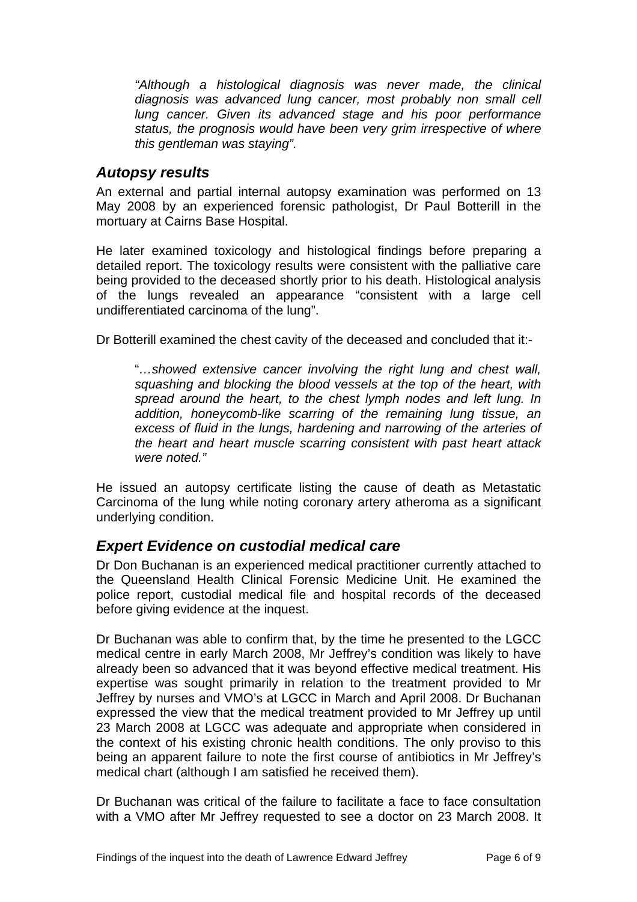<span id="page-7-0"></span>*"Although a histological diagnosis was never made, the clinical diagnosis was advanced lung cancer, most probably non small cell lung cancer. Given its advanced stage and his poor performance status, the prognosis would have been very grim irrespective of where this gentleman was staying".* 

#### *Autopsy results*

An external and partial internal autopsy examination was performed on 13 May 2008 by an experienced forensic pathologist, Dr Paul Botterill in the mortuary at Cairns Base Hospital.

He later examined toxicology and histological findings before preparing a detailed report. The toxicology results were consistent with the palliative care being provided to the deceased shortly prior to his death. Histological analysis of the lungs revealed an appearance "consistent with a large cell undifferentiated carcinoma of the lung".

Dr Botterill examined the chest cavity of the deceased and concluded that it:-

"*…showed extensive cancer involving the right lung and chest wall, squashing and blocking the blood vessels at the top of the heart, with spread around the heart, to the chest lymph nodes and left lung. In addition, honeycomb-like scarring of the remaining lung tissue, an excess of fluid in the lungs, hardening and narrowing of the arteries of the heart and heart muscle scarring consistent with past heart attack were noted."* 

He issued an autopsy certificate listing the cause of death as Metastatic Carcinoma of the lung while noting coronary artery atheroma as a significant underlying condition.

#### *Expert Evidence on custodial medical care*

Dr Don Buchanan is an experienced medical practitioner currently attached to the Queensland Health Clinical Forensic Medicine Unit. He examined the police report, custodial medical file and hospital records of the deceased before giving evidence at the inquest.

Dr Buchanan was able to confirm that, by the time he presented to the LGCC medical centre in early March 2008, Mr Jeffrey's condition was likely to have already been so advanced that it was beyond effective medical treatment. His expertise was sought primarily in relation to the treatment provided to Mr Jeffrey by nurses and VMO's at LGCC in March and April 2008. Dr Buchanan expressed the view that the medical treatment provided to Mr Jeffrey up until 23 March 2008 at LGCC was adequate and appropriate when considered in the context of his existing chronic health conditions. The only proviso to this being an apparent failure to note the first course of antibiotics in Mr Jeffrey's medical chart (although I am satisfied he received them).

Dr Buchanan was critical of the failure to facilitate a face to face consultation with a VMO after Mr Jeffrey requested to see a doctor on 23 March 2008. It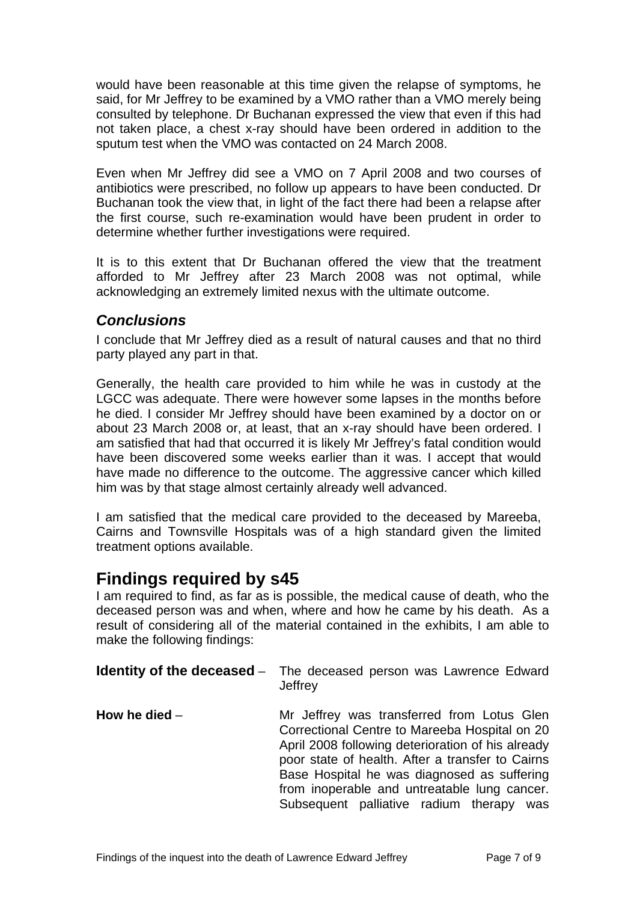<span id="page-8-0"></span>would have been reasonable at this time given the relapse of symptoms, he said, for Mr Jeffrey to be examined by a VMO rather than a VMO merely being consulted by telephone. Dr Buchanan expressed the view that even if this had not taken place, a chest x-ray should have been ordered in addition to the sputum test when the VMO was contacted on 24 March 2008.

Even when Mr Jeffrey did see a VMO on 7 April 2008 and two courses of antibiotics were prescribed, no follow up appears to have been conducted. Dr Buchanan took the view that, in light of the fact there had been a relapse after the first course, such re-examination would have been prudent in order to determine whether further investigations were required.

It is to this extent that Dr Buchanan offered the view that the treatment afforded to Mr Jeffrey after 23 March 2008 was not optimal, while acknowledging an extremely limited nexus with the ultimate outcome.

#### *Conclusions*

I conclude that Mr Jeffrey died as a result of natural causes and that no third party played any part in that.

Generally, the health care provided to him while he was in custody at the LGCC was adequate. There were however some lapses in the months before he died. I consider Mr Jeffrey should have been examined by a doctor on or about 23 March 2008 or, at least, that an x-ray should have been ordered. I am satisfied that had that occurred it is likely Mr Jeffrey's fatal condition would have been discovered some weeks earlier than it was. I accept that would have made no difference to the outcome. The aggressive cancer which killed him was by that stage almost certainly already well advanced.

I am satisfied that the medical care provided to the deceased by Mareeba, Cairns and Townsville Hospitals was of a high standard given the limited treatment options available.

### **Findings required by s45**

I am required to find, as far as is possible, the medical cause of death, who the deceased person was and when, where and how he came by his death. As a result of considering all of the material contained in the exhibits, I am able to make the following findings:

|                 | <b>Identity of the deceased</b> – The deceased person was Lawrence Edward<br>Jeffrey                                                                                                                                                                                                                                                               |
|-----------------|----------------------------------------------------------------------------------------------------------------------------------------------------------------------------------------------------------------------------------------------------------------------------------------------------------------------------------------------------|
| How he died $-$ | Mr Jeffrey was transferred from Lotus Glen<br>Correctional Centre to Mareeba Hospital on 20<br>April 2008 following deterioration of his already<br>poor state of health. After a transfer to Cairns<br>Base Hospital he was diagnosed as suffering<br>from inoperable and untreatable lung cancer.<br>Subsequent palliative radium therapy<br>was |